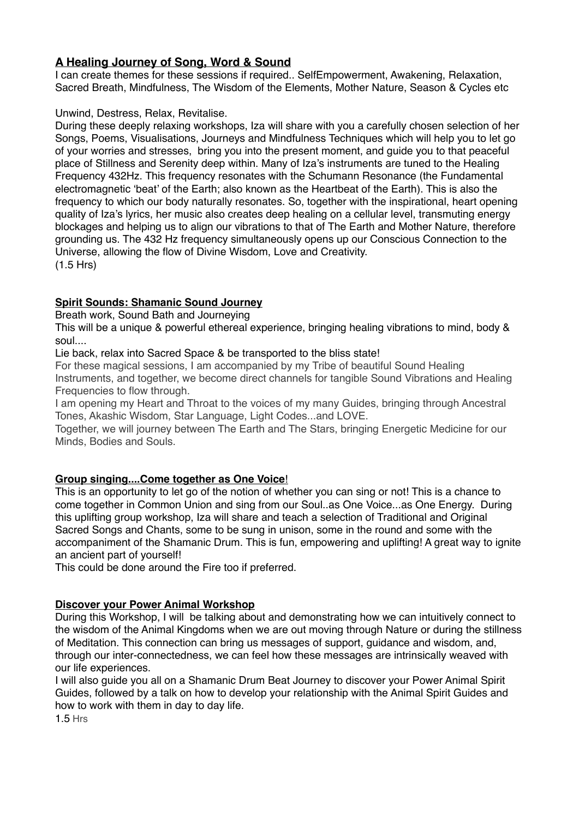# **A Healing Journey of Song, Word & Sound**

I can create themes for these sessions if required.. SelfEmpowerment, Awakening, Relaxation, Sacred Breath, Mindfulness, The Wisdom of the Elements, Mother Nature, Season & Cycles etc

#### Unwind, Destress, Relax, Revitalise.

During these deeply relaxing workshops, Iza will share with you a carefully chosen selection of her Songs, Poems, Visualisations, Journeys and Mindfulness Techniques which will help you to let go of your worries and stresses, bring you into the present moment, and guide you to that peaceful place of Stillness and Serenity deep within. Many of Iza's instruments are tuned to the Healing Frequency 432Hz. This frequency resonates with the Schumann Resonance (the Fundamental electromagnetic 'beat' of the Earth; also known as the Heartbeat of the Earth). This is also the frequency to which our body naturally resonates. So, together with the inspirational, heart opening quality of Iza's lyrics, her music also creates deep healing on a cellular level, transmuting energy blockages and helping us to align our vibrations to that of The Earth and Mother Nature, therefore grounding us. The 432 Hz frequency simultaneously opens up our Conscious Connection to the Universe, allowing the flow of Divine Wisdom, Love and Creativity. (1.5 Hrs)

## **Spirit Sounds: Shamanic Sound Journey**

Breath work, Sound Bath and Journeying

This will be a unique & powerful ethereal experience, bringing healing vibrations to mind, body & soul....

Lie back, relax into Sacred Space & be transported to the bliss state!

For these magical sessions, I am accompanied by my Tribe of beautiful Sound Healing Instruments, and together, we become direct channels for tangible Sound Vibrations and Healing Frequencies to flow through.

I am opening my Heart and Throat to the voices of my many Guides, bringing through Ancestral Tones, Akashic Wisdom, Star Language, Light Codes...and LOVE.

Together, we will journey between The Earth and The Stars, bringing Energetic Medicine for our Minds, Bodies and Souls.

## **Group singing....Come together as One Voice**!

This is an opportunity to let go of the notion of whether you can sing or not! This is a chance to come together in Common Union and sing from our Soul..as One Voice...as One Energy. During this uplifting group workshop, Iza will share and teach a selection of Traditional and Original Sacred Songs and Chants, some to be sung in unison, some in the round and some with the accompaniment of the Shamanic Drum. This is fun, empowering and uplifting! A great way to ignite an ancient part of yourself!

This could be done around the Fire too if preferred.

## **Discover your Power Animal Workshop**

During this Workshop, I will be talking about and demonstrating how we can intuitively connect to the wisdom of the Animal Kingdoms when we are out moving through Nature or during the stillness of Meditation. This connection can bring us messages of support, guidance and wisdom, and, through our inter-connectedness, we can feel how these messages are intrinsically weaved with our life experiences.

I will also guide you all on a Shamanic Drum Beat Journey to discover your Power Animal Spirit Guides, followed by a talk on how to develop your relationship with the Animal Spirit Guides and how to work with them in day to day life.

1.5 Hrs